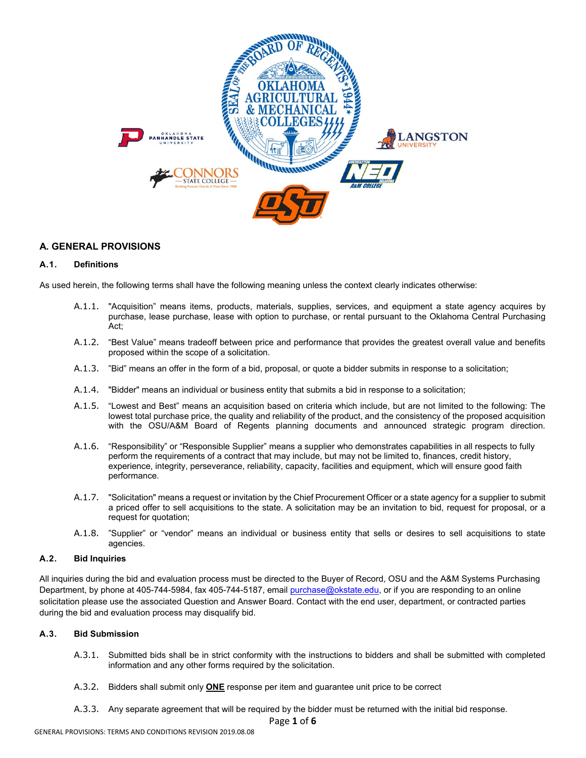

# **A. GENERAL PROVISIONS**

#### **A.1. Definitions**

As used herein, the following terms shall have the following meaning unless the context clearly indicates otherwise:

- A.1.1. "Acquisition" means items, products, materials, supplies, services, and equipment a state agency acquires by purchase, lease purchase, lease with option to purchase, or rental pursuant to the Oklahoma Central Purchasing Act;
- A.1.2. "Best Value" means tradeoff between price and performance that provides the greatest overall value and benefits proposed within the scope of a solicitation.
- A.1.3. "Bid" means an offer in the form of a bid, proposal, or quote a bidder submits in response to a solicitation;
- A.1.4. "Bidder" means an individual or business entity that submits a bid in response to a solicitation;
- A.1.5. "Lowest and Best" means an acquisition based on criteria which include, but are not limited to the following: The lowest total purchase price, the quality and reliability of the product, and the consistency of the proposed acquisition with the OSU/A&M Board of Regents planning documents and announced strategic program direction.
- A.1.6. "Responsibility" or "Responsible Supplier" means a supplier who demonstrates capabilities in all respects to fully perform the requirements of a contract that may include, but may not be limited to, finances, credit history, experience, integrity, perseverance, reliability, capacity, facilities and equipment, which will ensure good faith performance.
- A.1.7. "Solicitation" means a request or invitation by the Chief Procurement Officer or a state agency for a supplier to submit a priced offer to sell acquisitions to the state. A solicitation may be an invitation to bid, request for proposal, or a request for quotation;
- A.1.8. "Supplier" or "vendor" means an individual or business entity that sells or desires to sell acquisitions to state agencies.

# **A.2. Bid Inquiries**

All inquiries during the bid and evaluation process must be directed to the Buyer of Record, OSU and the A&M Systems Purchasing Department, by phone at 405-744-5984, fax 405-744-5187, email [purchase@okstate.edu,](mailto:purchase@okstate.edu) or if you are responding to an online solicitation please use the associated Question and Answer Board. Contact with the end user, department, or contracted parties during the bid and evaluation process may disqualify bid.

#### **A.3. Bid Submission**

- A.3.1. Submitted bids shall be in strict conformity with the instructions to bidders and shall be submitted with completed information and any other forms required by the solicitation.
- A.3.2. Bidders shall submit only **ONE** response per item and guarantee unit price to be correct
- A.3.3. Any separate agreement that will be required by the bidder must be returned with the initial bid response.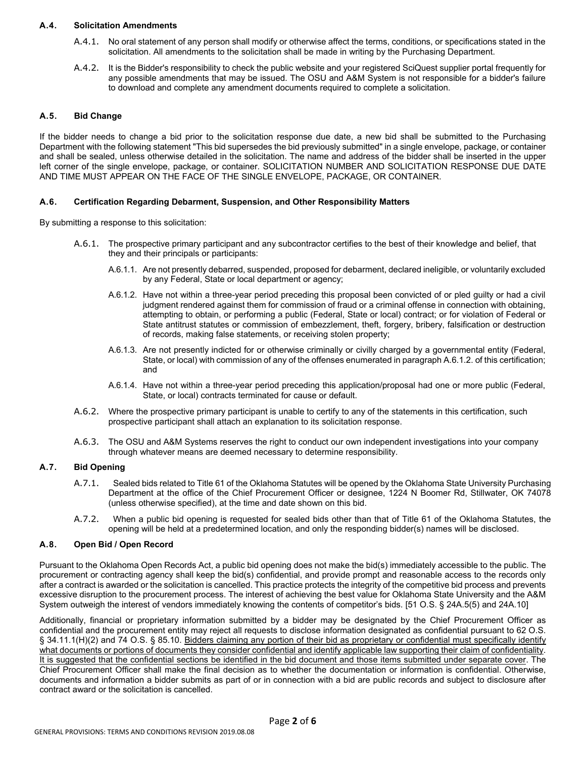#### **A.4. Solicitation Amendments**

- A.4.1. No oral statement of any person shall modify or otherwise affect the terms, conditions, or specifications stated in the solicitation. All amendments to the solicitation shall be made in writing by the Purchasing Department.
- A.4.2. It is the Bidder's responsibility to check the public website and your registered SciQuest supplier portal frequently for any possible amendments that may be issued. The OSU and A&M System is not responsible for a bidder's failure to download and complete any amendment documents required to complete a solicitation.

## **A.5. Bid Change**

If the bidder needs to change a bid prior to the solicitation response due date, a new bid shall be submitted to the Purchasing Department with the following statement "This bid supersedes the bid previously submitted" in a single envelope, package, or container and shall be sealed, unless otherwise detailed in the solicitation. The name and address of the bidder shall be inserted in the upper left corner of the single envelope, package, or container. SOLICITATION NUMBER AND SOLICITATION RESPONSE DUE DATE AND TIME MUST APPEAR ON THE FACE OF THE SINGLE ENVELOPE, PACKAGE, OR CONTAINER.

#### **A.6. Certification Regarding Debarment, Suspension, and Other Responsibility Matters**

By submitting a response to this solicitation:

- A.6.1. The prospective primary participant and any subcontractor certifies to the best of their knowledge and belief, that they and their principals or participants:
	- A.6.1.1. Are not presently debarred, suspended, proposed for debarment, declared ineligible, or voluntarily excluded by any Federal, State or local department or agency;
	- A.6.1.2. Have not within a three-year period preceding this proposal been convicted of or pled guilty or had a civil judgment rendered against them for commission of fraud or a criminal offense in connection with obtaining, attempting to obtain, or performing a public (Federal, State or local) contract; or for violation of Federal or State antitrust statutes or commission of embezzlement, theft, forgery, bribery, falsification or destruction of records, making false statements, or receiving stolen property;
	- A.6.1.3. Are not presently indicted for or otherwise criminally or civilly charged by a governmental entity (Federal, State, or local) with commission of any of the offenses enumerated in paragraph A.6.1.2. of this certification; and
	- A.6.1.4. Have not within a three-year period preceding this application/proposal had one or more public (Federal, State, or local) contracts terminated for cause or default.
- A.6.2. Where the prospective primary participant is unable to certify to any of the statements in this certification, such prospective participant shall attach an explanation to its solicitation response.
- A.6.3. The OSU and A&M Systems reserves the right to conduct our own independent investigations into your company through whatever means are deemed necessary to determine responsibility.

#### **A.7. Bid Opening**

- A.7.1. Sealed bids related to Title 61 of the Oklahoma Statutes will be opened by the Oklahoma State University Purchasing Department at the office of the Chief Procurement Officer or designee, 1224 N Boomer Rd, Stillwater, OK 74078 (unless otherwise specified), at the time and date shown on this bid.
- A.7.2. When a public bid opening is requested for sealed bids other than that of Title 61 of the Oklahoma Statutes, the opening will be held at a predetermined location, and only the responding bidder(s) names will be disclosed.

#### **A.8. Open Bid / Open Record**

Pursuant to the Oklahoma Open Records Act, a public bid opening does not make the bid(s) immediately accessible to the public. The procurement or contracting agency shall keep the bid(s) confidential, and provide prompt and reasonable access to the records only after a contract is awarded or the solicitation is cancelled. This practice protects the integrity of the competitive bid process and prevents excessive disruption to the procurement process. The interest of achieving the best value for Oklahoma State University and the A&M System outweigh the interest of vendors immediately knowing the contents of competitor's bids. [51 O.S. § 24A.5(5) and 24A.10]

Additionally, financial or proprietary information submitted by a bidder may be designated by the Chief Procurement Officer as confidential and the procurement entity may reject all requests to disclose information designated as confidential pursuant to 62 O.S. § 34.11.1(H)(2) and 74 O.S. § 85.10. Bidders claiming any portion of their bid as proprietary or confidential must specifically identify what documents or portions of documents they consider confidential and identify applicable law supporting their claim of confidentiality. It is suggested that the confidential sections be identified in the bid document and those items submitted under separate cover. The Chief Procurement Officer shall make the final decision as to whether the documentation or information is confidential. Otherwise, documents and information a bidder submits as part of or in connection with a bid are public records and subject to disclosure after contract award or the solicitation is cancelled.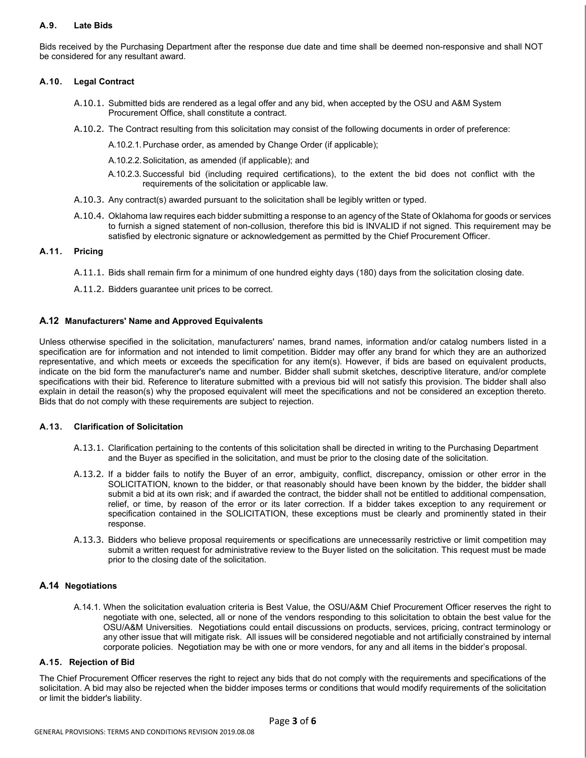# **A.9. Late Bids**

Bids received by the Purchasing Department after the response due date and time shall be deemed non-responsive and shall NOT be considered for any resultant award.

#### **A.10. Legal Contract**

- A.10.1. Submitted bids are rendered as a legal offer and any bid, when accepted by the OSU and A&M System Procurement Office, shall constitute a contract.
- A.10.2. The Contract resulting from this solicitation may consist of the following documents in order of preference:

A.10.2.1.Purchase order, as amended by Change Order (if applicable);

- A.10.2.2.Solicitation, as amended (if applicable); and
- A.10.2.3.Successful bid (including required certifications), to the extent the bid does not conflict with the requirements of the solicitation or applicable law.
- A.10.3. Any contract(s) awarded pursuant to the solicitation shall be legibly written or typed.
- A.10.4. Oklahoma law requires each bidder submitting a response to an agency of the State of Oklahoma for goods or services to furnish a signed statement of non-collusion, therefore this bid is INVALID if not signed. This requirement may be satisfied by electronic signature or acknowledgement as permitted by the Chief Procurement Officer.

#### **A.11. Pricing**

- A.11.1. Bids shall remain firm for a minimum of one hundred eighty days (180) days from the solicitation closing date.
- A.11.2. Bidders guarantee unit prices to be correct.

#### **A.12 Manufacturers' Name and Approved Equivalents**

Unless otherwise specified in the solicitation, manufacturers' names, brand names, information and/or catalog numbers listed in a specification are for information and not intended to limit competition. Bidder may offer any brand for which they are an authorized representative, and which meets or exceeds the specification for any item(s). However, if bids are based on equivalent products, indicate on the bid form the manufacturer's name and number. Bidder shall submit sketches, descriptive literature, and/or complete specifications with their bid. Reference to literature submitted with a previous bid will not satisfy this provision. The bidder shall also explain in detail the reason(s) why the proposed equivalent will meet the specifications and not be considered an exception thereto. Bids that do not comply with these requirements are subject to rejection.

#### **A.13. Clarification of Solicitation**

- A.13.1. Clarification pertaining to the contents of this solicitation shall be directed in writing to the Purchasing Department and the Buyer as specified in the solicitation, and must be prior to the closing date of the solicitation.
- A.13.2. If a bidder fails to notify the Buyer of an error, ambiguity, conflict, discrepancy, omission or other error in the SOLICITATION, known to the bidder, or that reasonably should have been known by the bidder, the bidder shall submit a bid at its own risk; and if awarded the contract, the bidder shall not be entitled to additional compensation, relief, or time, by reason of the error or its later correction. If a bidder takes exception to any requirement or specification contained in the SOLICITATION, these exceptions must be clearly and prominently stated in their response.
- A.13.3. Bidders who believe proposal requirements or specifications are unnecessarily restrictive or limit competition may submit a written request for administrative review to the Buyer listed on the solicitation. This request must be made prior to the closing date of the solicitation.

#### **A.14 Negotiations**

A.14.1. When the solicitation evaluation criteria is Best Value, the OSU/A&M Chief Procurement Officer reserves the right to negotiate with one, selected, all or none of the vendors responding to this solicitation to obtain the best value for the OSU/A&M Universities. Negotiations could entail discussions on products, services, pricing, contract terminology or any other issue that will mitigate risk. All issues will be considered negotiable and not artificially constrained by internal corporate policies. Negotiation may be with one or more vendors, for any and all items in the bidder's proposal.

#### **A.15. Rejection of Bid**

The Chief Procurement Officer reserves the right to reject any bids that do not comply with the requirements and specifications of the solicitation. A bid may also be rejected when the bidder imposes terms or conditions that would modify requirements of the solicitation or limit the bidder's liability.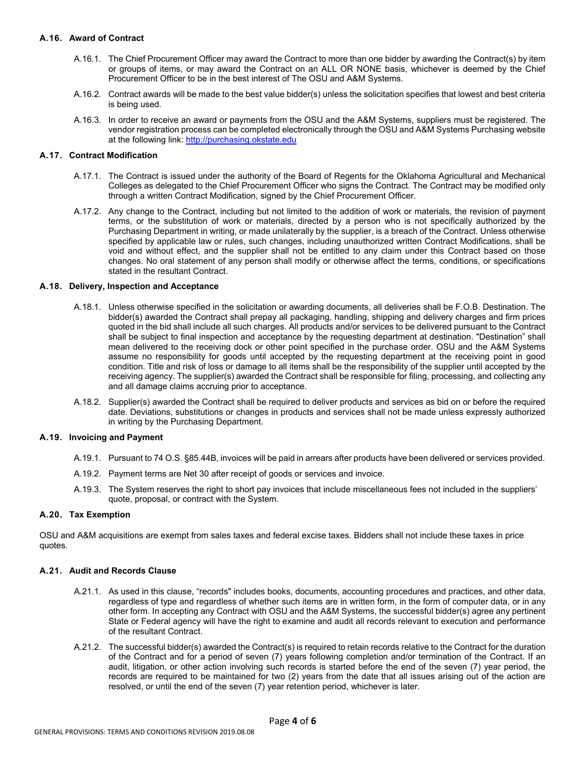## **A.16. Award of Contract**

- A.16.1. The Chief Procurement Officer may award the Contract to more than one bidder by awarding the Contract(s) by item or groups of items, or may award the Contract on an ALL OR NONE basis, whichever is deemed by the Chief Procurement Officer to be in the best interest of The OSU and A&M Systems.
- A.16.2. Contract awards will be made to the best value bidder(s) unless the solicitation specifies that lowest and best criteria is being used.
- A.16.3. In order to receive an award or payments from the OSU and the A&M Systems, suppliers must be registered. The vendor registration process can be completed electronically through the OSU and A&M Systems Purchasing website at the following link: [http://purchasing.okstate.edu](http://purchasing.okstate.edu/)

#### **A.17. Contract Modification**

- A.17.1. The Contract is issued under the authority of the Board of Regents for the Oklahoma Agricultural and Mechanical Colleges as delegated to the Chief Procurement Officer who signs the Contract. The Contract may be modified only through a written Contract Modification, signed by the Chief Procurement Officer.
- A.17.2. Any change to the Contract, including but not limited to the addition of work or materials, the revision of payment terms, or the substitution of work or materials, directed by a person who is not specifically authorized by the Purchasing Department in writing, or made unilaterally by the supplier, is a breach of the Contract. Unless otherwise specified by applicable law or rules, such changes, including unauthorized written Contract Modifications, shall be void and without effect, and the supplier shall not be entitled to any claim under this Contract based on those changes. No oral statement of any person shall modify or otherwise affect the terms, conditions, or specifications stated in the resultant Contract.

#### **A.18. Delivery, Inspection and Acceptance**

- A.18.1. Unless otherwise specified in the solicitation or awarding documents, all deliveries shall be F.O.B. Destination. The bidder(s) awarded the Contract shall prepay all packaging, handling, shipping and delivery charges and firm prices quoted in the bid shall include all such charges. All products and/or services to be delivered pursuant to the Contract shall be subject to final inspection and acceptance by the requesting department at destination. "Destination" shall mean delivered to the receiving dock or other point specified in the purchase order. OSU and the A&M Systems assume no responsibility for goods until accepted by the requesting department at the receiving point in good condition. Title and risk of loss or damage to all items shall be the responsibility of the supplier until accepted by the receiving agency. The supplier(s) awarded the Contract shall be responsible for filing, processing, and collecting any and all damage claims accruing prior to acceptance.
- A.18.2. Supplier(s) awarded the Contract shall be required to deliver products and services as bid on or before the required date. Deviations, substitutions or changes in products and services shall not be made unless expressly authorized in writing by the Purchasing Department.

#### **A.19. Invoicing and Payment**

- A.19.1. Pursuant to 74 O.S. §85.44B, invoices will be paid in arrears after products have been delivered or services provided.
- A.19.2. Payment terms are Net 30 after receipt of goods or services and invoice.
- A.19.3. The System reserves the right to short pay invoices that include miscellaneous fees not included in the suppliers' quote, proposal, or contract with the System.

#### **A.20. Tax Exemption**

OSU and A&M acquisitions are exempt from sales taxes and federal excise taxes. Bidders shall not include these taxes in price quotes.

#### **A.21. Audit and Records Clause**

- A.21.1. As used in this clause, "records" includes books, documents, accounting procedures and practices, and other data, regardless of type and regardless of whether such items are in written form, in the form of computer data, or in any other form. In accepting any Contract with OSU and the A&M Systems, the successful bidder(s) agree any pertinent State or Federal agency will have the right to examine and audit all records relevant to execution and performance of the resultant Contract.
- A.21.2. The successful bidder(s) awarded the Contract(s) is required to retain records relative to the Contract for the duration of the Contract and for a period of seven (7) years following completion and/or termination of the Contract. If an audit, litigation, or other action involving such records is started before the end of the seven (7) year period, the records are required to be maintained for two (2) years from the date that all issues arising out of the action are resolved, or until the end of the seven (7) year retention period, whichever is later.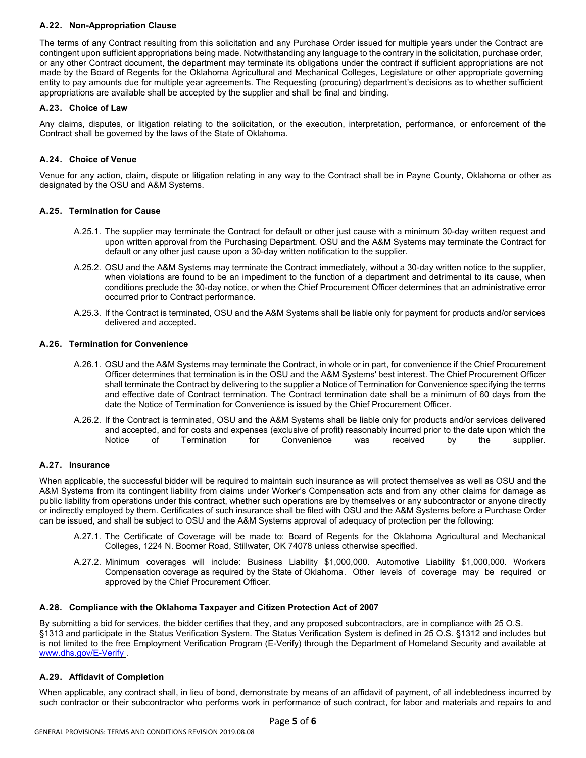## **A.22. Non-Appropriation Clause**

The terms of any Contract resulting from this solicitation and any Purchase Order issued for multiple years under the Contract are contingent upon sufficient appropriations being made. Notwithstanding any language to the contrary in the solicitation, purchase order, or any other Contract document, the department may terminate its obligations under the contract if sufficient appropriations are not made by the Board of Regents for the Oklahoma Agricultural and Mechanical Colleges, Legislature or other appropriate governing entity to pay amounts due for multiple year agreements. The Requesting (procuring) department's decisions as to whether sufficient appropriations are available shall be accepted by the supplier and shall be final and binding.

# **A.23. Choice of Law**

Any claims, disputes, or litigation relating to the solicitation, or the execution, interpretation, performance, or enforcement of the Contract shall be governed by the laws of the State of Oklahoma.

# **A.24. Choice of Venue**

Venue for any action, claim, dispute or litigation relating in any way to the Contract shall be in Payne County, Oklahoma or other as designated by the OSU and A&M Systems.

# **A.25. Termination for Cause**

- A.25.1. The supplier may terminate the Contract for default or other just cause with a minimum 30-day written request and upon written approval from the Purchasing Department. OSU and the A&M Systems may terminate the Contract for default or any other just cause upon a 30-day written notification to the supplier.
- A.25.2. OSU and the A&M Systems may terminate the Contract immediately, without a 30-day written notice to the supplier, when violations are found to be an impediment to the function of a department and detrimental to its cause, when conditions preclude the 30-day notice, or when the Chief Procurement Officer determines that an administrative error occurred prior to Contract performance.
- A.25.3. If the Contract is terminated, OSU and the A&M Systems shall be liable only for payment for products and/or services delivered and accepted.

#### **A.26. Termination for Convenience**

- A.26.1. OSU and the A&M Systems may terminate the Contract, in whole or in part, for convenience if the Chief Procurement Officer determines that termination is in the OSU and the A&M Systems' best interest. The Chief Procurement Officer shall terminate the Contract by delivering to the supplier a Notice of Termination for Convenience specifying the terms and effective date of Contract termination. The Contract termination date shall be a minimum of 60 days from the date the Notice of Termination for Convenience is issued by the Chief Procurement Officer.
- A.26.2. If the Contract is terminated, OSU and the A&M Systems shall be liable only for products and/or services delivered and accepted, and for costs and expenses (exclusive of profit) reasonably incurred prior to the date upon which the<br>Notice of Termination for Convenience was received by the supplier. Notice of Termination for Convenience was received by the supplier.

#### **A.27. Insurance**

When applicable, the successful bidder will be required to maintain such insurance as will protect themselves as well as OSU and the A&M Systems from its contingent liability from claims under Worker's Compensation acts and from any other claims for damage as public liability from operations under this contract, whether such operations are by themselves or any subcontractor or anyone directly or indirectly employed by them. Certificates of such insurance shall be filed with OSU and the A&M Systems before a Purchase Order can be issued, and shall be subject to OSU and the A&M Systems approval of adequacy of protection per the following:

- A.27.1. The Certificate of Coverage will be made to: Board of Regents for the Oklahoma Agricultural and Mechanical Colleges, 1224 N. Boomer Road, Stillwater, OK 74078 unless otherwise specified.
- A.27.2. Minimum coverages will include: Business Liability \$1,000,000. Automotive Liability \$1,000,000. Workers Compensation coverage as required by the State of Oklahoma. Other levels of coverage may be required or approved by the Chief Procurement Officer.

#### **A.28. Compliance with the Oklahoma Taxpayer and Citizen Protection Act of 2007**

By submitting a bid for services, the bidder certifies that they, and any proposed subcontractors, are in compliance with 25 O.S. §1313 and participate in the Status Verification System. The Status Verification System is defined in 25 O.S. §1312 and includes but is not limited to the free Employment Verification Program (E-Verify) through the Department of Homeland Security and available at [www.dhs.gov/E-Verify .](http://www.dhs.gov/E-Verify)

#### **A.29. Affidavit of Completion**

When applicable, any contract shall, in lieu of bond, demonstrate by means of an affidavit of payment, of all indebtedness incurred by such contractor or their subcontractor who performs work in performance of such contract, for labor and materials and repairs to and